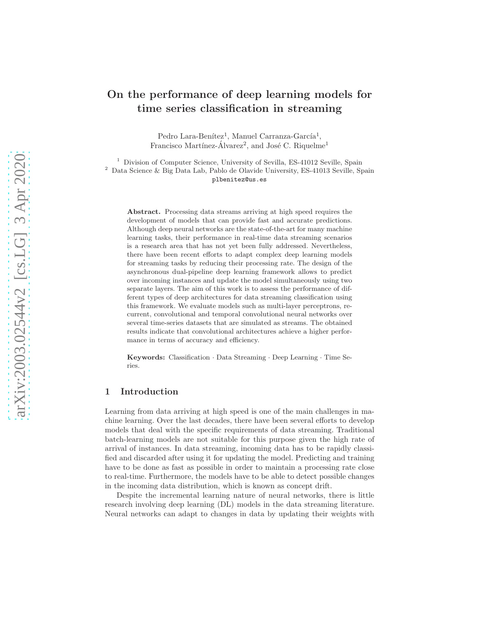# On the performance of deep learning models for time series classification in streaming

Pedro Lara-Benítez<sup>1</sup>, Manuel Carranza-García<sup>1</sup>, Francisco Martínez-Álvarez<sup>2</sup>, and José C. Riquelme<sup>1</sup>

<sup>1</sup> Division of Computer Science, University of Sevilla, ES-41012 Seville, Spain  $^2\,$  Data Science & Big Data Lab, Pablo de Olavide University, ES-41013 Seville, Spain plbenitez@us.es

Abstract. Processing data streams arriving at high speed requires the development of models that can provide fast and accurate predictions. Although deep neural networks are the state-of-the-art for many machine learning tasks, their performance in real-time data streaming scenarios is a research area that has not yet been fully addressed. Nevertheless, there have been recent efforts to adapt complex deep learning models for streaming tasks by reducing their processing rate. The design of the asynchronous dual-pipeline deep learning framework allows to predict over incoming instances and update the model simultaneously using two separate layers. The aim of this work is to assess the performance of different types of deep architectures for data streaming classification using this framework. We evaluate models such as multi-layer perceptrons, recurrent, convolutional and temporal convolutional neural networks over several time-series datasets that are simulated as streams. The obtained results indicate that convolutional architectures achieve a higher performance in terms of accuracy and efficiency.

Keywords: Classification · Data Streaming · Deep Learning · Time Series.

# 1 Introduction

Learning from data arriving at high speed is one of the main challenges in machine learning. Over the last decades, there have been several efforts to develop models that deal with the specific requirements of data streaming. Traditional batch-learning models are not suitable for this purpose given the high rate of arrival of instances. In data streaming, incoming data has to be rapidly classified and discarded after using it for updating the model. Predicting and training have to be done as fast as possible in order to maintain a processing rate close to real-time. Furthermore, the models have to be able to detect possible changes in the incoming data distribution, which is known as concept drift.

Despite the incremental learning nature of neural networks, there is little research involving deep learning (DL) models in the data streaming literature. Neural networks can adapt to changes in data by updating their weights with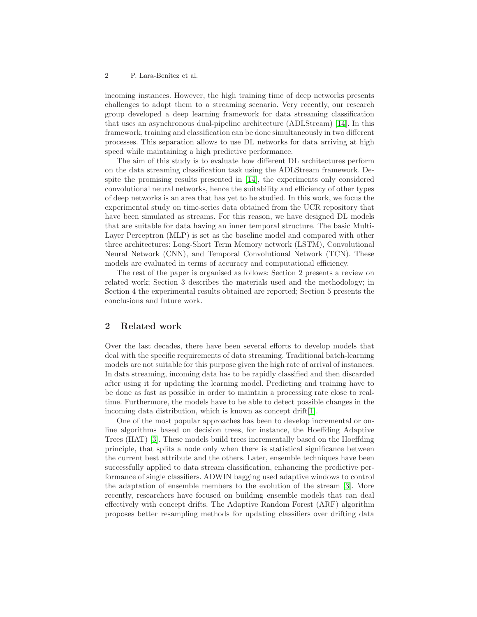incoming instances. However, the high training time of deep networks presents challenges to adapt them to a streaming scenario. Very recently, our research group developed a deep learning framework for data streaming classification that uses an asynchronous dual-pipeline architecture (ADLStream) [\[14\]](#page-9-0). In this framework, training and classification can be done simultaneously in two different processes. This separation allows to use DL networks for data arriving at high speed while maintaining a high predictive performance.

The aim of this study is to evaluate how different DL architectures perform on the data streaming classification task using the ADLStream framework. Despite the promising results presented in [\[14\]](#page-9-0), the experiments only considered convolutional neural networks, hence the suitability and efficiency of other types of deep networks is an area that has yet to be studied. In this work, we focus the experimental study on time-series data obtained from the UCR repository that have been simulated as streams. For this reason, we have designed DL models that are suitable for data having an inner temporal structure. The basic Multi-Layer Perceptron (MLP) is set as the baseline model and compared with other three architectures: Long-Short Term Memory network (LSTM), Convolutional Neural Network (CNN), and Temporal Convolutional Network (TCN). These models are evaluated in terms of accuracy and computational efficiency.

The rest of the paper is organised as follows: Section 2 presents a review on related work; Section 3 describes the materials used and the methodology; in Section 4 the experimental results obtained are reported; Section 5 presents the conclusions and future work.

# 2 Related work

Over the last decades, there have been several efforts to develop models that deal with the specific requirements of data streaming. Traditional batch-learning models are not suitable for this purpose given the high rate of arrival of instances. In data streaming, incoming data has to be rapidly classified and then discarded after using it for updating the learning model. Predicting and training have to be done as fast as possible in order to maintain a processing rate close to realtime. Furthermore, the models have to be able to detect possible changes in the incoming data distribution, which is known as concept drift[\[1\]](#page-8-0).

One of the most popular approaches has been to develop incremental or online algorithms based on decision trees, for instance, the Hoeffding Adaptive Trees (HAT) [\[3\]](#page-8-1). These models build trees incrementally based on the Hoeffding principle, that splits a node only when there is statistical significance between the current best attribute and the others. Later, ensemble techniques have been successfully applied to data stream classification, enhancing the predictive performance of single classifiers. ADWIN bagging used adaptive windows to control the adaptation of ensemble members to the evolution of the stream [\[3\]](#page-8-1). More recently, researchers have focused on building ensemble models that can deal effectively with concept drifts. The Adaptive Random Forest (ARF) algorithm proposes better resampling methods for updating classifiers over drifting data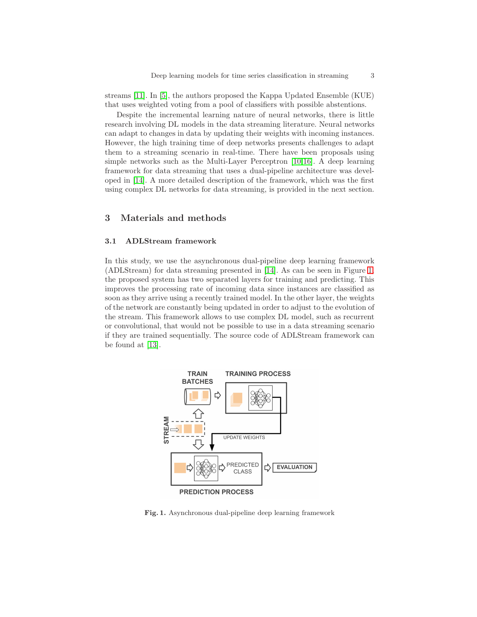streams [\[11\]](#page-9-1). In [\[5\]](#page-9-2), the authors proposed the Kappa Updated Ensemble (KUE) that uses weighted voting from a pool of classifiers with possible abstentions.

Despite the incremental learning nature of neural networks, there is little research involving DL models in the data streaming literature. Neural networks can adapt to changes in data by updating their weights with incoming instances. However, the high training time of deep networks presents challenges to adapt them to a streaming scenario in real-time. There have been proposals using simple networks such as the Multi-Layer Perceptron [\[10,](#page-9-3)[16\]](#page-9-4). A deep learning framework for data streaming that uses a dual-pipeline architecture was developed in [\[14\]](#page-9-0). A more detailed description of the framework, which was the first using complex DL networks for data streaming, is provided in the next section.

# 3 Materials and methods

#### 3.1 ADLStream framework

In this study, we use the asynchronous dual-pipeline deep learning framework (ADLStream) for data streaming presented in [\[14\]](#page-9-0). As can be seen in Figure [1,](#page-2-0) the proposed system has two separated layers for training and predicting. This improves the processing rate of incoming data since instances are classified as soon as they arrive using a recently trained model. In the other layer, the weights of the network are constantly being updated in order to adjust to the evolution of the stream. This framework allows to use complex DL model, such as recurrent or convolutional, that would not be possible to use in a data streaming scenario if they are trained sequentially. The source code of ADLStream framework can be found at [\[13\]](#page-9-5).



<span id="page-2-0"></span>Fig. 1. Asynchronous dual-pipeline deep learning framework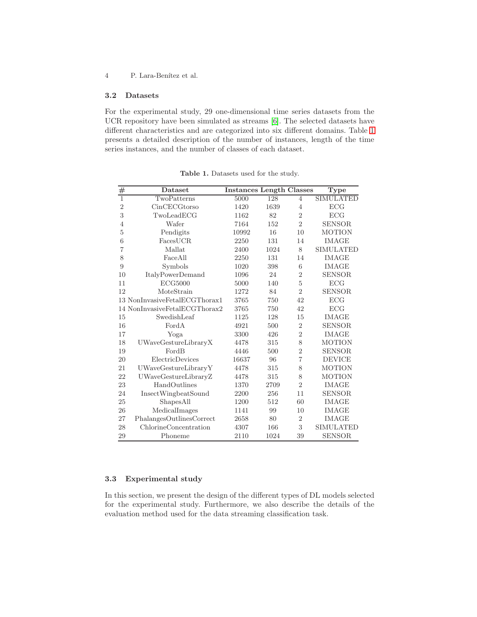# 3.2 Datasets

For the experimental study, 29 one-dimensional time series datasets from the UCR repository have been simulated as streams [\[6\]](#page-9-6). The selected datasets have different characteristics and are categorized into six different domains. Table [1](#page-3-0) presents a detailed description of the number of instances, length of the time series instances, and the number of classes of each dataset.

| #              | Dataset                       | <b>Instances Length Classes</b> |      |                | Type             |
|----------------|-------------------------------|---------------------------------|------|----------------|------------------|
| $\overline{1}$ | TwoPatterns                   | 5000                            | 128  | $\overline{4}$ | <b>SIMULATED</b> |
| $\overline{2}$ | CinCECGtorso                  | 1420                            | 1639 | 4              | ECG              |
| 3              | TwoLeaderCG                   | 1162                            | 82   | $\overline{2}$ | ECG              |
| 4              | Wafer                         | 7164                            | 152  | $\overline{2}$ | <b>SENSOR</b>    |
| 5              | Pendigits                     | 10992                           | 16   | 10             | <b>MOTION</b>    |
| 6              | FacesUCR                      | 2250                            | 131  | 14             | <b>IMAGE</b>     |
| $\overline{7}$ | Mallat                        | 2400                            | 1024 | 8              | <b>SIMULATED</b> |
| 8              | FaceAll                       | 2250                            | 131  | 14             | <b>IMAGE</b>     |
| 9              | Symbols                       | 1020                            | 398  | 6              | <b>IMAGE</b>     |
| 10             | <b>ItalyPowerDemand</b>       | 1096                            | 24   | $\overline{2}$ | <b>SENSOR</b>    |
| 11             | ECG5000                       | 5000                            | 140  | 5              | ECG              |
| 12             | MoteStrain                    | 1272                            | 84   | $\overline{2}$ | <b>SENSOR</b>    |
|                | 13 NonInvasiveFetalECGThorax1 | 3765                            | 750  | 42             | ECG              |
|                | 14 NonInvasiveFetalECGThorax2 | 3765                            | 750  | 42             | ECG              |
| 15             | SwedishLeaf                   | 1125                            | 128  | 15             | <b>IMAGE</b>     |
| 16             | FordA                         | 4921                            | 500  | $\overline{2}$ | <b>SENSOR</b>    |
| 17             | Yoga                          | 3300                            | 426  | $\overline{2}$ | IMAGE            |
| 18             | UWaveGestureLibraryX          | 4478                            | 315  | 8              | <b>MOTION</b>    |
| 19             | FordB                         | 4446                            | 500  | $\overline{2}$ | <b>SENSOR</b>    |
| 20             | ElectricDevices               | 16637                           | 96   | $\overline{7}$ | <b>DEVICE</b>    |
| 21             | UWaveGestureLibraryY          | 4478                            | 315  | 8              | <b>MOTION</b>    |
| 22             | UWaveGestureLibraryZ          | 4478                            | 315  | 8              | <b>MOTION</b>    |
| 23             | HandOutlines                  | 1370                            | 2709 | $\overline{2}$ | IMAGE            |
| 24             | InsectWingbeatSound           | 2200                            | 256  | 11             | <b>SENSOR</b>    |
| 25             | ShapesAll                     | 1200                            | 512  | 60             | <b>IMAGE</b>     |
| 26             | MedicalImages                 | 1141                            | 99   | 10             | <b>IMAGE</b>     |
| 27             | PhalangesOutlinesCorrect      | 2658                            | 80   | $\overline{2}$ | <b>IMAGE</b>     |
| 28             | ChlorineConcentration         | 4307                            | 166  | 3              | <b>SIMULATED</b> |
| 29             | Phoneme                       | 2110                            | 1024 | 39             | <b>SENSOR</b>    |

<span id="page-3-0"></span>Table 1. Datasets used for the study.

## 3.3 Experimental study

In this section, we present the design of the different types of DL models selected for the experimental study. Furthermore, we also describe the details of the evaluation method used for the data streaming classification task.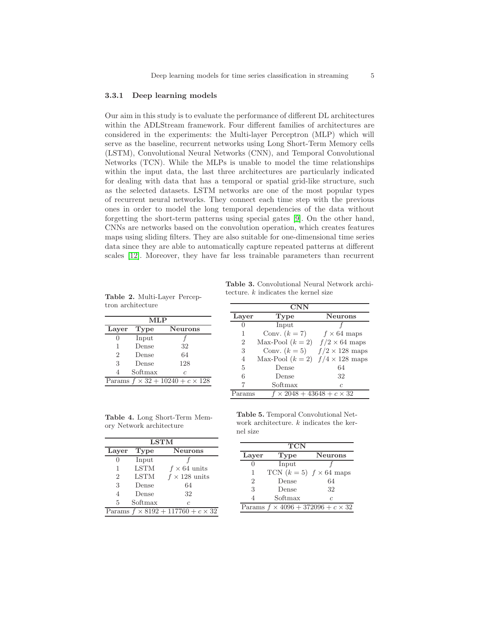#### 3.3.1 Deep learning models

Our aim in this study is to evaluate the performance of different DL architectures within the ADLStream framework. Four different families of architectures are considered in the experiments: the Multi-layer Perceptron (MLP) which will serve as the baseline, recurrent networks using Long Short-Term Memory cells (LSTM), Convolutional Neural Networks (CNN), and Temporal Convolutional Networks (TCN). While the MLPs is unable to model the time relationships within the input data, the last three architectures are particularly indicated for dealing with data that has a temporal or spatial grid-like structure, such as the selected datasets. LSTM networks are one of the most popular types of recurrent neural networks. They connect each time step with the previous ones in order to model the long temporal dependencies of the data without forgetting the short-term patterns using special gates [\[9\]](#page-9-7). On the other hand, CNNs are networks based on the convolution operation, which creates features maps using sliding filters. They are also suitable for one-dimensional time series data since they are able to automatically capture repeated patterns at different scales [\[12\]](#page-9-8). Moreover, they have far less trainable parameters than recurrent

 $\overline{\text{MLP}}$ Layer Type Neurons  $0$  Input 1 Dense 32 2 Dense 64 3 Dense 128 4 Softmax c Params  $f \times 32 + 10240 + c \times 128$ 

<span id="page-4-0"></span>Table 2. Multi-Layer Perceptron architecture tecture.  $k$  indicates the kernel size

<span id="page-4-2"></span>

| <b>CNN</b>     |                                          |                       |  |  |
|----------------|------------------------------------------|-----------------------|--|--|
| Layer          | Type                                     | <b>Neurons</b>        |  |  |
| $\mathcal{O}$  | Input                                    |                       |  |  |
| 1              | Conv. $(k=7)$                            | $f \times 64$ maps    |  |  |
| $\overline{2}$ | Max-Pool $(k=2)$                         | $f/2 \times 64$ maps  |  |  |
| 3              | Conv. $(k=5)$                            | $f/2 \times 128$ maps |  |  |
| 4              | Max-Pool $(k = 2)$ $f/4 \times 128$ maps |                       |  |  |
| 5              | Dense                                    | 64                    |  |  |
| 6              | Dense                                    | 32                    |  |  |
|                | Softmax                                  | C                     |  |  |
| Params         | $\times 2048 + 43648 + c \times 32$      |                       |  |  |

Table 3. Convolutional Neural Network archi-

Table 4. Long Short-Term Memory Network architecture

| <b>LSTM</b>    |             |                                               |  |  |
|----------------|-------------|-----------------------------------------------|--|--|
| Layer          | Type        | <b>Neurons</b>                                |  |  |
| 0              | Input       |                                               |  |  |
| 1              | <b>LSTM</b> | $f \times 64$ units                           |  |  |
| $\overline{2}$ | <b>LSTM</b> | $f \times 128$ units                          |  |  |
| 3              | Dense       | 64                                            |  |  |
| $\overline{4}$ | Dense       | 32                                            |  |  |
| 5              | Softmax     | $\overline{c}$                                |  |  |
|                |             | Params $f \times 8192 + 117760 + c \times 32$ |  |  |

<span id="page-4-1"></span>Table 5. Temporal Convolutional Network architecture.  $k$  indicates the kernel size

| <b>TCN</b>                                    |                                |                |  |  |  |
|-----------------------------------------------|--------------------------------|----------------|--|--|--|
| Laver                                         | Type                           | <b>Neurons</b> |  |  |  |
|                                               | Input                          |                |  |  |  |
| 1                                             | TCN $(k=5)$ $f \times 64$ maps |                |  |  |  |
| $\mathcal{D}$                                 | Dense                          | 64             |  |  |  |
| 3                                             | Dense                          | 32             |  |  |  |
|                                               | Softmax                        | C              |  |  |  |
| Params $f \times 4096 + 372096 + c \times 32$ |                                |                |  |  |  |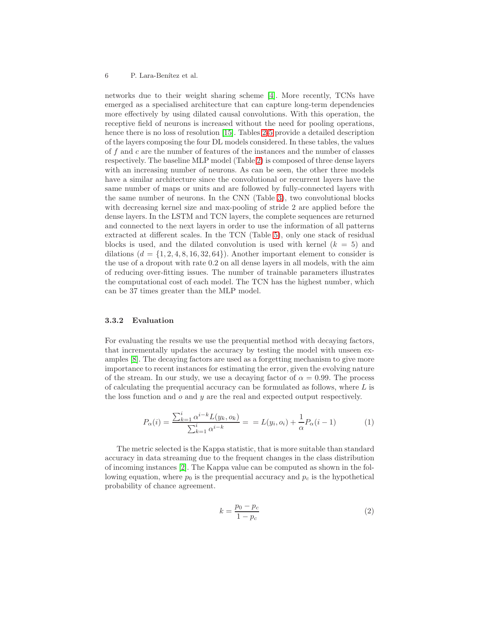networks due to their weight sharing scheme [\[4\]](#page-8-2). More recently, TCNs have emerged as a specialised architecture that can capture long-term dependencies more effectively by using dilated causal convolutions. With this operation, the receptive field of neurons is increased without the need for pooling operations, hence there is no loss of resolution [\[15\]](#page-9-9). Tables [2-](#page-4-0)[5](#page-4-1) provide a detailed description of the layers composing the four DL models considered. In these tables, the values of f and c are the number of features of the instances and the number of classes respectively. The baseline MLP model (Table [2\)](#page-4-0) is composed of three dense layers with an increasing number of neurons. As can be seen, the other three models have a similar architecture since the convolutional or recurrent layers have the same number of maps or units and are followed by fully-connected layers with the same number of neurons. In the CNN (Table [3\)](#page-4-2), two convolutional blocks with decreasing kernel size and max-pooling of stride 2 are applied before the dense layers. In the LSTM and TCN layers, the complete sequences are returned and connected to the next layers in order to use the information of all patterns extracted at different scales. In the TCN (Table [5\)](#page-4-1), only one stack of residual blocks is used, and the dilated convolution is used with kernel  $(k = 5)$  and dilations  $(d = \{1, 2, 4, 8, 16, 32, 64\})$ . Another important element to consider is the use of a dropout with rate 0.2 on all dense layers in all models, with the aim of reducing over-fitting issues. The number of trainable parameters illustrates the computational cost of each model. The TCN has the highest number, which can be 37 times greater than the MLP model.

### 3.3.2 Evaluation

For evaluating the results we use the prequential method with decaying factors, that incrementally updates the accuracy by testing the model with unseen examples [\[8\]](#page-9-10). The decaying factors are used as a forgetting mechanism to give more importance to recent instances for estimating the error, given the evolving nature of the stream. In our study, we use a decaying factor of  $\alpha = 0.99$ . The process of calculating the prequential accuracy can be formulated as follows, where  $L$  is the loss function and  $\sigma$  and  $\gamma$  are the real and expected output respectively.

$$
P_{\alpha}(i) = \frac{\sum_{k=1}^{i} \alpha^{i-k} L(y_k, o_k)}{\sum_{k=1}^{i} \alpha^{i-k}} = L(y_i, o_i) + \frac{1}{\alpha} P_{\alpha}(i-1)
$$
(1)

The metric selected is the Kappa statistic, that is more suitable than standard accuracy in data streaming due to the frequent changes in the class distribution of incoming instances [\[2\]](#page-8-3). The Kappa value can be computed as shown in the following equation, where  $p_0$  is the prequential accuracy and  $p_c$  is the hypothetical probability of chance agreement.

$$
k = \frac{p_0 - p_c}{1 - p_c} \tag{2}
$$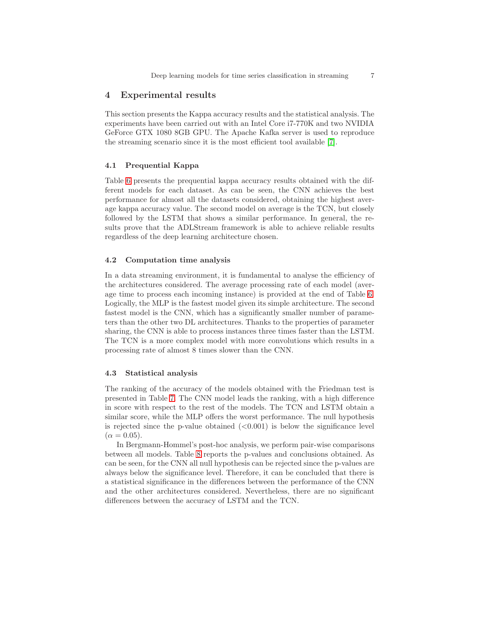# 4 Experimental results

This section presents the Kappa accuracy results and the statistical analysis. The experiments have been carried out with an Intel Core i7-770K and two NVIDIA GeForce GTX 1080 8GB GPU. The Apache Kafka server is used to reproduce the streaming scenario since it is the most efficient tool available [\[7\]](#page-9-11).

#### 4.1 Prequential Kappa

Table [6](#page-7-0) presents the prequential kappa accuracy results obtained with the different models for each dataset. As can be seen, the CNN achieves the best performance for almost all the datasets considered, obtaining the highest average kappa accuracy value. The second model on average is the TCN, but closely followed by the LSTM that shows a similar performance. In general, the results prove that the ADLStream framework is able to achieve reliable results regardless of the deep learning architecture chosen.

#### 4.2 Computation time analysis

In a data streaming environment, it is fundamental to analyse the efficiency of the architectures considered. The average processing rate of each model (average time to process each incoming instance) is provided at the end of Table [6.](#page-7-0) Logically, the MLP is the fastest model given its simple architecture. The second fastest model is the CNN, which has a significantly smaller number of parameters than the other two DL architectures. Thanks to the properties of parameter sharing, the CNN is able to process instances three times faster than the LSTM. The TCN is a more complex model with more convolutions which results in a processing rate of almost 8 times slower than the CNN.

#### 4.3 Statistical analysis

The ranking of the accuracy of the models obtained with the Friedman test is presented in Table [7.](#page-7-1) The CNN model leads the ranking, with a high difference in score with respect to the rest of the models. The TCN and LSTM obtain a similar score, while the MLP offers the worst performance. The null hypothesis is rejected since the p-value obtained  $( $0.001$ )$  is below the significance level  $(\alpha = 0.05)$ .

In Bergmann-Hommel's post-hoc analysis, we perform pair-wise comparisons between all models. Table [8](#page-7-2) reports the p-values and conclusions obtained. As can be seen, for the CNN all null hypothesis can be rejected since the p-values are always below the significance level. Therefore, it can be concluded that there is a statistical significance in the differences between the performance of the CNN and the other architectures considered. Nevertheless, there are no significant differences between the accuracy of LSTM and the TCN.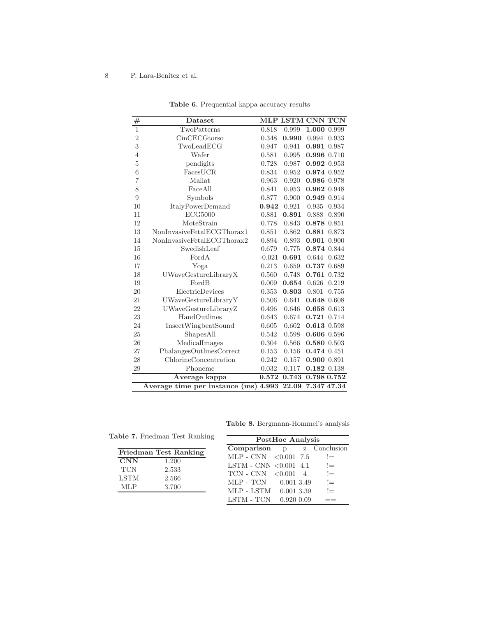| #                | Dataset                                                            |          |       | MLP LSTM CNN TCN |
|------------------|--------------------------------------------------------------------|----------|-------|------------------|
| $\overline{1}$   | TwoPatterns                                                        | 0.818    | 0.999 | 1.000<br>0.999   |
| $\overline{2}$   | CinCECGtorso                                                       | 0.348    | 0.990 | 0.994<br>0.933   |
| 3                | TwoLeadECG                                                         | 0.947    | 0.941 | 0.991 0.987      |
| $\overline{4}$   | Wafer                                                              | 0.581    | 0.995 | 0.996 0.710      |
| $\overline{5}$   | pendigits                                                          | 0.728    | 0.987 | 0.992 0.953      |
| $\boldsymbol{6}$ | $\operatorname{\textsc{Fac}}\nolimits\operatorname{\textsc{UCR}}$  | 0.834    | 0.952 | 0.974 0.952      |
| $\overline{7}$   | Mallat                                                             | 0.963    | 0.920 | 0.986 0.978      |
| 8                | FaceAll                                                            | 0.841    | 0.953 | 0.962 0.948      |
| 9                | Symbols                                                            | 0.877    | 0.900 | 0.949<br>0.914   |
| 10               | <b>ItalyPowerDemand</b>                                            | 0.942    | 0.921 | 0.935<br>0.934   |
| 11               | ECG5000                                                            | 0.881    | 0.891 | 0.888<br>0.890   |
| 12               | MoteStrain                                                         | 0.778    | 0.843 | 0.878 0.851      |
| 13               | NonInvasiveFetalECGThorax1                                         | 0.851    | 0.862 | 0.881 0.873      |
| 14               | NonInvasiveFetalECGThorax2                                         | 0.894    | 0.893 | 0.901 0.900      |
| 15               | SwedishLeaf                                                        | 0.679    | 0.775 | 0.874 0.844      |
| 16               | FordA                                                              | $-0.021$ | 0.691 | 0.644<br>0.632   |
| 17               | Yoga                                                               | 0.213    | 0.659 | 0.737 0.689      |
| 18               | UWaveGestureLibraryX                                               | 0.560    | 0.748 | 0.761 0.732      |
| 19               | FordB                                                              | 0.009    | 0.654 | 0.626<br>0.219   |
| 20               | ElectricDevices                                                    | 0.353    | 0.803 | 0.801<br>0.755   |
| 21               | UWaveGestureLibraryY                                               | 0.506    | 0.641 | 0.648 0.608      |
| 22               | UWaveGestureLibraryZ                                               | 0.496    | 0.646 | $0.658$ $0.613$  |
| 23               | HandOutlines                                                       | 0.643    | 0.674 | $0.721$ $0.714$  |
| 24               | InsectWingbeatSound                                                | 0.605    | 0.602 | 0.613 0.598      |
| 25               | ShapesAll                                                          | 0.542    | 0.598 | $0.606$ $0.596$  |
| 26               | MedicalImages                                                      | 0.304    | 0.566 | 0.580 0.503      |
| 27               | PhalangesOutlinesCorrect                                           | 0.153    | 0.156 | 0.474 0.451      |
| 28               | ChlorineConcentration                                              | 0.242    | 0.157 | 0.900 0.891      |
| 29               | Phoneme                                                            | 0.032    | 0.117 | 0.182 0.138      |
|                  | Average kappa                                                      | 0.572    | 0.743 | 0.798 0.752      |
|                  | 7.347 47.34<br>Average time per instance<br>4.993<br>22.09<br>(ms) |          |       |                  |

<span id="page-7-0"></span>Table 6. Prequential kappa accuracy results

<span id="page-7-2"></span>Table 8. Bergmann-Hommel's analysis

<span id="page-7-1"></span>

| <b>Table 7.</b> Friedman Test Ranking |                       | PostHoc Analysis                        |                         |                |                      |
|---------------------------------------|-----------------------|-----------------------------------------|-------------------------|----------------|----------------------|
|                                       | Friedman Test Ranking | Comparison p<br>$MLP - CNN < 0.001$ 7.5 |                         |                | z Conclusion<br>$!=$ |
| <b>CNN</b><br><b>TCN</b>              | 1.200                 | $LSTM - CNN 0.001 4.1$                  |                         |                | $!=$                 |
| <b>LSTM</b>                           | 2.533<br>2.566        | $TCN - CNN < 0.001$                     |                         | $\overline{4}$ | $!=$                 |
| <b>MLP</b>                            | 3.700                 | MLP - TCN<br>MLP - LSTM                 | 0.0013.49<br>0.001 3.39 |                | $!=$<br>$!=$         |
|                                       |                       | LSTM - TCN                              | $0.920\ 0.09$           |                |                      |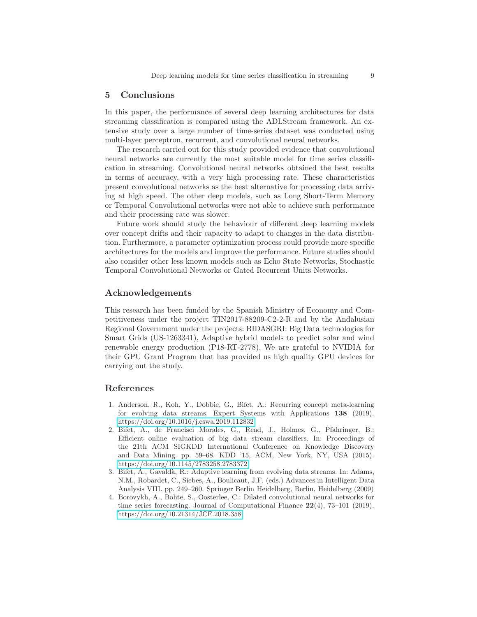## 5 Conclusions

In this paper, the performance of several deep learning architectures for data streaming classification is compared using the ADLStream framework. An extensive study over a large number of time-series dataset was conducted using multi-layer perceptron, recurrent, and convolutional neural networks.

The research carried out for this study provided evidence that convolutional neural networks are currently the most suitable model for time series classification in streaming. Convolutional neural networks obtained the best results in terms of accuracy, with a very high processing rate. These characteristics present convolutional networks as the best alternative for processing data arriving at high speed. The other deep models, such as Long Short-Term Memory or Temporal Convolutional networks were not able to achieve such performance and their processing rate was slower.

Future work should study the behaviour of different deep learning models over concept drifts and their capacity to adapt to changes in the data distribution. Furthermore, a parameter optimization process could provide more specific architectures for the models and improve the performance. Future studies should also consider other less known models such as Echo State Networks, Stochastic Temporal Convolutional Networks or Gated Recurrent Units Networks.

### Acknowledgements

This research has been funded by the Spanish Ministry of Economy and Competitiveness under the project TIN2017-88209-C2-2-R and by the Andalusian Regional Government under the projects: BIDASGRI: Big Data technologies for Smart Grids (US-1263341), Adaptive hybrid models to predict solar and wind renewable energy production (P18-RT-2778). We are grateful to NVIDIA for their GPU Grant Program that has provided us high quality GPU devices for carrying out the study.

#### <span id="page-8-0"></span>References

- 1. Anderson, R., Koh, Y., Dobbie, G., Bifet, A.: Recurring concept meta-learning for evolving data streams. Expert Systems with Applications 138 (2019). <https://doi.org/10.1016/j.eswa.2019.112832>
- <span id="page-8-3"></span>2. Bifet, A., de Francisci Morales, G., Read, J., Holmes, G., Pfahringer, B.: Efficient online evaluation of big data stream classifiers. In: Proceedings of the 21th ACM SIGKDD International Conference on Knowledge Discovery and Data Mining. pp. 59–68. KDD '15, ACM, New York, NY, USA (2015). <https://doi.org/10.1145/2783258.2783372>
- <span id="page-8-1"></span>3. Bifet, A., Gavald`a, R.: Adaptive learning from evolving data streams. In: Adams, N.M., Robardet, C., Siebes, A., Boulicaut, J.F. (eds.) Advances in Intelligent Data Analysis VIII. pp. 249–260. Springer Berlin Heidelberg, Berlin, Heidelberg (2009)
- <span id="page-8-2"></span>4. Borovykh, A., Bohte, S., Oosterlee, C.: Dilated convolutional neural networks for time series forecasting. Journal of Computational Finance  $22(4)$ , 73-101 (2019). <https://doi.org/10.21314/JCF.2018.358>